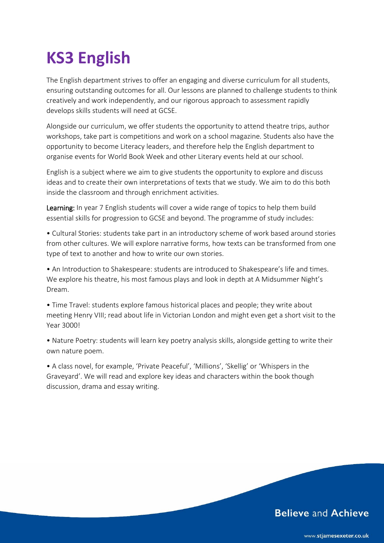## **KS3 English**

The English department strives to offer an engaging and diverse curriculum for all students, ensuring outstanding outcomes for all. Our lessons are planned to challenge students to think creatively and work independently, and our rigorous approach to assessment rapidly develops skills students will need at GCSE.

Alongside our curriculum, we offer students the opportunity to attend theatre trips, author workshops, take part is competitions and work on a school magazine. Students also have the opportunity to become Literacy leaders, and therefore help the English department to organise events for World Book Week and other Literary events held at our school.

English is a subject where we aim to give students the opportunity to explore and discuss ideas and to create their own interpretations of texts that we study. We aim to do this both inside the classroom and through enrichment activities.

Learning: In year 7 English students will cover a wide range of topics to help them build essential skills for progression to GCSE and beyond. The programme of study includes:

• Cultural Stories: students take part in an introductory scheme of work based around stories from other cultures. We will explore narrative forms, how texts can be transformed from one type of text to another and how to write our own stories.

• An Introduction to Shakespeare: students are introduced to Shakespeare's life and times. We explore his theatre, his most famous plays and look in depth at A Midsummer Night's Dream.

• Time Travel: students explore famous historical places and people; they write about meeting Henry VIII; read about life in Victorian London and might even get a short visit to the Year 3000!

• Nature Poetry: students will learn key poetry analysis skills, alongside getting to write their own nature poem.

• A class novel, for example, 'Private Peaceful', 'Millions', 'Skellig' or 'Whispers in the Graveyard'. We will read and explore key ideas and characters within the book though discussion, drama and essay writing.

## **Believe and Achieve**